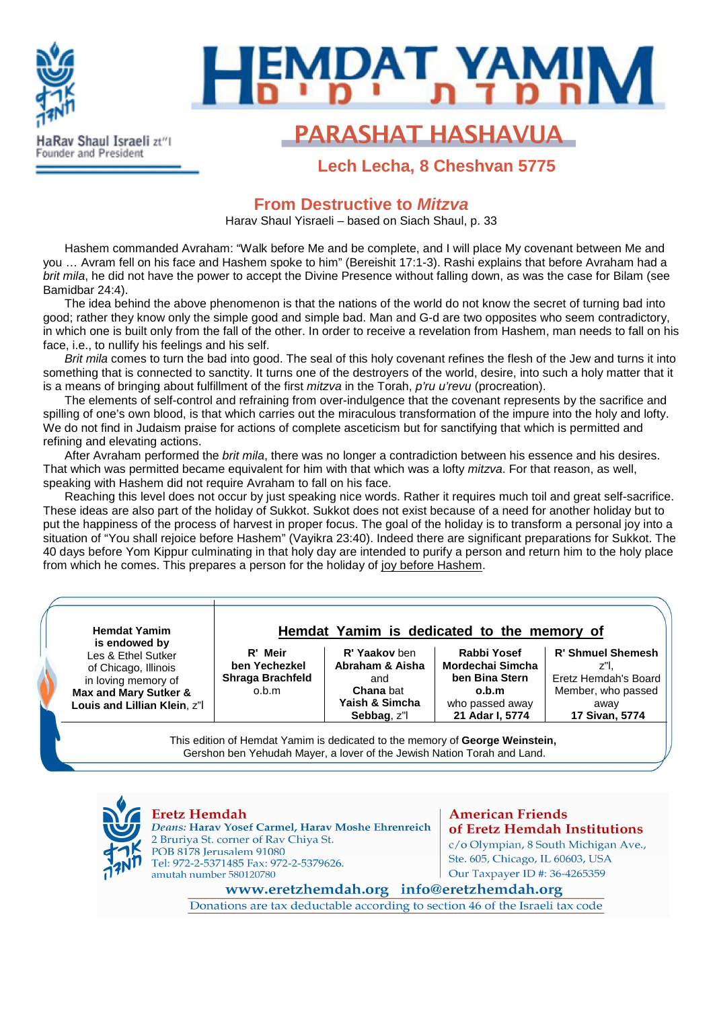

# **MDAT YAMI Lech Lecha**

# **PARASHAT HASHAVUA**

**Lech Lecha, 8 Cheshvan 5775**

### **From Destructive to Mitzva**

Harav Shaul Yisraeli – based on Siach Shaul, p. 33

Hashem commanded Avraham: "Walk before Me and be complete, and I will place My covenant between Me and you … Avram fell on his face and Hashem spoke to him" (Bereishit 17:1-3). Rashi explains that before Avraham had a brit mila, he did not have the power to accept the Divine Presence without falling down, as was the case for Bilam (see Bamidbar 24:4).

The idea behind the above phenomenon is that the nations of the world do not know the secret of turning bad into good; rather they know only the simple good and simple bad. Man and G-d are two opposites who seem contradictory, in which one is built only from the fall of the other. In order to receive a revelation from Hashem, man needs to fall on his face, i.e., to nullify his feelings and his self.

Brit mila comes to turn the bad into good. The seal of this holy covenant refines the flesh of the Jew and turns it into something that is connected to sanctity. It turns one of the destroyers of the world, desire, into such a holy matter that it is a means of bringing about fulfillment of the first *mitzva* in the Torah,  $p'ru$  u'revu (procreation).

The elements of self-control and refraining from over-indulgence that the covenant represents by the sacrifice and spilling of one's own blood, is that which carries out the miraculous transformation of the impure into the holy and lofty. We do not find in Judaism praise for actions of complete asceticism but for sanctifying that which is permitted and refining and elevating actions.

After Avraham performed the brit mila, there was no longer a contradiction between his essence and his desires. That which was permitted became equivalent for him with that which was a lofty mitzva. For that reason, as well, speaking with Hashem did not require Avraham to fall on his face.

Reaching this level does not occur by just speaking nice words. Rather it requires much toil and great self-sacrifice. These ideas are also part of the holiday of Sukkot. Sukkot does not exist because of a need for another holiday but to put the happiness of the process of harvest in proper focus. The goal of the holiday is to transform a personal joy into a situation of "You shall rejoice before Hashem" (Vayikra 23:40). Indeed there are significant preparations for Sukkot. The 40 days before Yom Kippur culminating in that holy day are intended to purify a person and return him to the holy place from which he comes. This prepares a person for the holiday of joy before Hashem.

| <b>Hemdat Yamim</b><br>is endowed by<br>Les & Ethel Sutker<br>of Chicago, Illinois<br>in loving memory of<br>Max and Mary Sutker &<br>Louis and Lillian Klein, z"I | Hemdat Yamim is dedicated to the memory of                   |                                                                                              |                                                                                                  |                                                                                                  |
|--------------------------------------------------------------------------------------------------------------------------------------------------------------------|--------------------------------------------------------------|----------------------------------------------------------------------------------------------|--------------------------------------------------------------------------------------------------|--------------------------------------------------------------------------------------------------|
|                                                                                                                                                                    | R' Meir<br>ben Yechezkel<br><b>Shraga Brachfeld</b><br>o.b.m | R' Yaakov ben<br>Abraham & Aisha<br>and<br><b>Chana</b> bat<br>Yaish & Simcha<br>Sebbag, z"l | Rabbi Yosef<br>Mordechai Simcha<br>ben Bina Stern<br>o.b.m<br>who passed away<br>21 Adar I, 5774 | <b>R' Shmuel Shemesh</b><br>Eretz Hemdah's Board<br>Member, who passed<br>away<br>17 Sivan, 5774 |

This edition of Hemdat Yamim is dedicated to the memory of **George Weinstein,**  Gershon ben Yehudah Mayer, a lover of the Jewish Nation Torah and Land.



**Eretz Hemdah** Deans: Harav Yosef Carmel, Harav Moshe Ehrenreich 2 Bruriya St. corner of Rav Chiya St. POB 8178 Jerusalem 91080 Tel: 972-2-5371485 Fax: 972-2-5379626. amutah number 580120780

### **American Friends** of Eretz Hemdah Institutions

c/o Olympian, 8 South Michigan Ave., Ste. 605, Chicago, IL 60603, USA Our Taxpayer ID #: 36-4265359

www.eretzhemdah.org info@eretzhemdah.org Donations are tax deductable according to section 46 of the Israeli tax code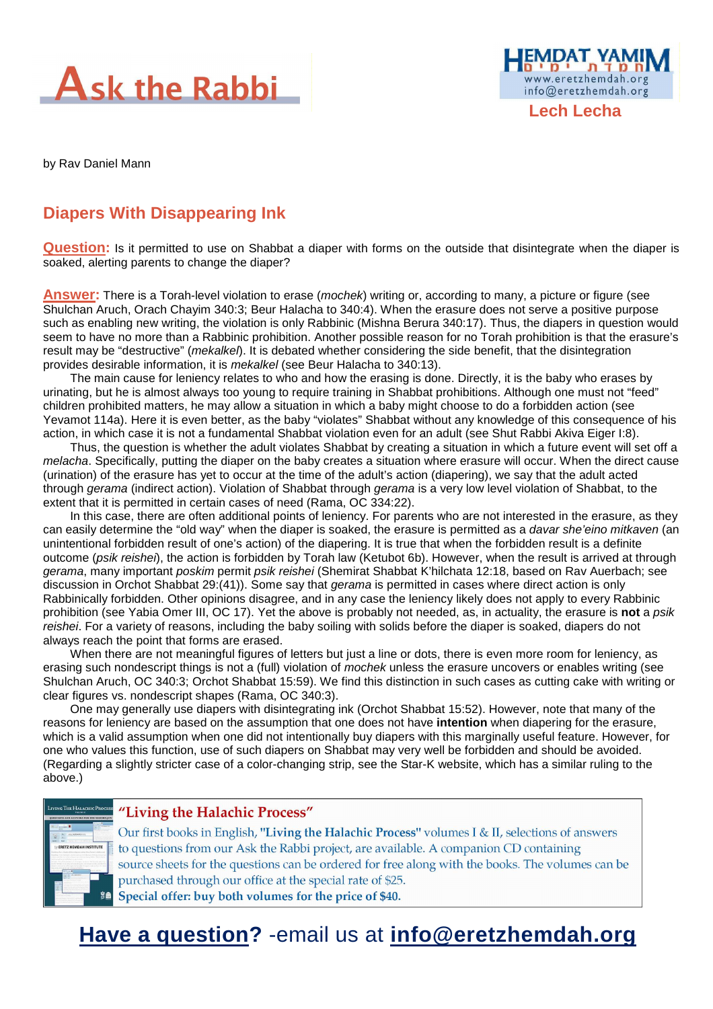



**Lech Lecha** 

by Rav Daniel Mann

# **Diapers With Disappearing Ink**

**Question:** Is it permitted to use on Shabbat a diaper with forms on the outside that disintegrate when the diaper is soaked, alerting parents to change the diaper?

**Answer:** There is a Torah-level violation to erase (mochek) writing or, according to many, a picture or figure (see Shulchan Aruch, Orach Chayim 340:3; Beur Halacha to 340:4). When the erasure does not serve a positive purpose such as enabling new writing, the violation is only Rabbinic (Mishna Berura 340:17). Thus, the diapers in question would seem to have no more than a Rabbinic prohibition. Another possible reason for no Torah prohibition is that the erasure's result may be "destructive" (mekalkel). It is debated whether considering the side benefit, that the disintegration provides desirable information, it is mekalkel (see Beur Halacha to 340:13).

The main cause for leniency relates to who and how the erasing is done. Directly, it is the baby who erases by urinating, but he is almost always too young to require training in Shabbat prohibitions. Although one must not "feed" children prohibited matters, he may allow a situation in which a baby might choose to do a forbidden action (see Yevamot 114a). Here it is even better, as the baby "violates" Shabbat without any knowledge of this consequence of his action, in which case it is not a fundamental Shabbat violation even for an adult (see Shut Rabbi Akiva Eiger I:8).

Thus, the question is whether the adult violates Shabbat by creating a situation in which a future event will set off a melacha. Specifically, putting the diaper on the baby creates a situation where erasure will occur. When the direct cause (urination) of the erasure has yet to occur at the time of the adult's action (diapering), we say that the adult acted through gerama (indirect action). Violation of Shabbat through gerama is a very low level violation of Shabbat, to the extent that it is permitted in certain cases of need (Rama, OC 334:22).

In this case, there are often additional points of leniency. For parents who are not interested in the erasure, as they can easily determine the "old way" when the diaper is soaked, the erasure is permitted as a davar she'eino mitkaven (an unintentional forbidden result of one's action) of the diapering. It is true that when the forbidden result is a definite outcome (psik reishei), the action is forbidden by Torah law (Ketubot 6b). However, when the result is arrived at through gerama, many important poskim permit psik reishei (Shemirat Shabbat K'hilchata 12:18, based on Rav Auerbach; see discussion in Orchot Shabbat 29:(41)). Some say that *gerama* is permitted in cases where direct action is only Rabbinically forbidden. Other opinions disagree, and in any case the leniency likely does not apply to every Rabbinic prohibition (see Yabia Omer III, OC 17). Yet the above is probably not needed, as, in actuality, the erasure is **not** a psik reishei. For a variety of reasons, including the baby soiling with solids before the diaper is soaked, diapers do not always reach the point that forms are erased.

When there are not meaningful figures of letters but just a line or dots, there is even more room for leniency, as erasing such nondescript things is not a (full) violation of mochek unless the erasure uncovers or enables writing (see Shulchan Aruch, OC 340:3; Orchot Shabbat 15:59). We find this distinction in such cases as cutting cake with writing or clear figures vs. nondescript shapes (Rama, OC 340:3).

One may generally use diapers with disintegrating ink (Orchot Shabbat 15:52). However, note that many of the reasons for leniency are based on the assumption that one does not have **intention** when diapering for the erasure, which is a valid assumption when one did not intentionally buy diapers with this marginally useful feature. However, for one who values this function, use of such diapers on Shabbat may very well be forbidden and should be avoided. (Regarding a slightly stricter case of a color-changing strip, see the Star-K website, which has a similar ruling to the above.)



#### "Living the Halachic Process"

Our first books in English, "Living the Halachic Process" volumes I & II, selections of answers to questions from our Ask the Rabbi project, are available. A companion CD containing source sheets for the questions can be ordered for free along with the books. The volumes can be purchased through our office at the special rate of \$25. Special offer: buy both volumes for the price of \$40.

# **Have a question?** -email us at **info@eretzhemdah.org**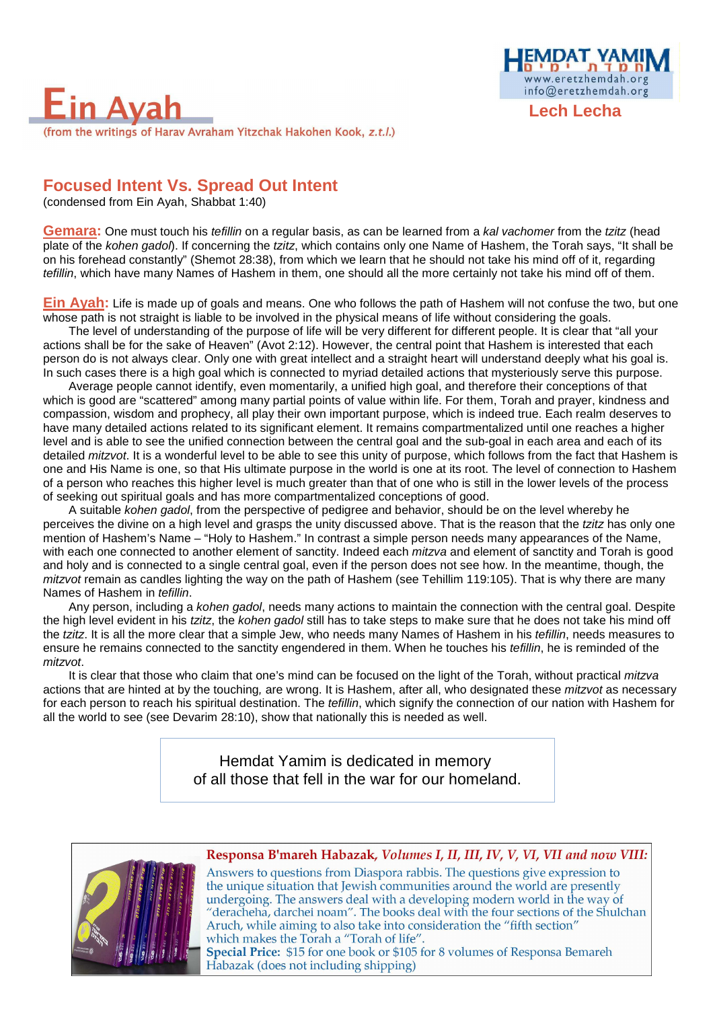

### **Focused Intent Vs. Spread Out Intent**

(condensed from Ein Ayah, Shabbat 1:40)

**Gemara:** One must touch his *tefillin* on a regular basis, as can be learned from a kal vachomer from the tzitz (head plate of the kohen gadol). If concerning the tzitz, which contains only one Name of Hashem, the Torah says, "It shall be on his forehead constantly" (Shemot 28:38), from which we learn that he should not take his mind off of it, regarding tefillin, which have many Names of Hashem in them, one should all the more certainly not take his mind off of them.

**Lech Lecha** 

www.eretzhemdah.org info@eretzhemdah.org

**Ein Ayah:** Life is made up of goals and means. One who follows the path of Hashem will not confuse the two, but one whose path is not straight is liable to be involved in the physical means of life without considering the goals.

The level of understanding of the purpose of life will be very different for different people. It is clear that "all your actions shall be for the sake of Heaven" (Avot 2:12). However, the central point that Hashem is interested that each person do is not always clear. Only one with great intellect and a straight heart will understand deeply what his goal is. In such cases there is a high goal which is connected to myriad detailed actions that mysteriously serve this purpose.

Average people cannot identify, even momentarily, a unified high goal, and therefore their conceptions of that which is good are "scattered" among many partial points of value within life. For them, Torah and prayer, kindness and compassion, wisdom and prophecy, all play their own important purpose, which is indeed true. Each realm deserves to have many detailed actions related to its significant element. It remains compartmentalized until one reaches a higher level and is able to see the unified connection between the central goal and the sub-goal in each area and each of its detailed *mitzvot*. It is a wonderful level to be able to see this unity of purpose, which follows from the fact that Hashem is one and His Name is one, so that His ultimate purpose in the world is one at its root. The level of connection to Hashem of a person who reaches this higher level is much greater than that of one who is still in the lower levels of the process of seeking out spiritual goals and has more compartmentalized conceptions of good.

A suitable kohen gadol, from the perspective of pedigree and behavior, should be on the level whereby he perceives the divine on a high level and grasps the unity discussed above. That is the reason that the tzitz has only one mention of Hashem's Name – "Holy to Hashem." In contrast a simple person needs many appearances of the Name, with each one connected to another element of sanctity. Indeed each mitzva and element of sanctity and Torah is good and holy and is connected to a single central goal, even if the person does not see how. In the meantime, though, the mitzvot remain as candles lighting the way on the path of Hashem (see Tehillim 119:105). That is why there are many Names of Hashem in tefillin.

Any person, including a kohen gadol, needs many actions to maintain the connection with the central goal. Despite the high level evident in his tzitz, the kohen gadol still has to take steps to make sure that he does not take his mind off the tzitz. It is all the more clear that a simple Jew, who needs many Names of Hashem in his tefillin, needs measures to ensure he remains connected to the sanctity engendered in them. When he touches his tefillin, he is reminded of the mitzvot.

It is clear that those who claim that one's mind can be focused on the light of the Torah, without practical mitzva actions that are hinted at by the touching, are wrong. It is Hashem, after all, who designated these *mitzvot* as necessary for each person to reach his spiritual destination. The *tefillin*, which signify the connection of our nation with Hashem for all the world to see (see Devarim 28:10), show that nationally this is needed as well.

> Hemdat Yamim is dedicated in memory of all those that fell in the war for our homeland.



#### Responsa B'mareh Habazak, Volumes I, II, III, IV, V, VI, VII and now VIII:

Answers to questions from Diaspora rabbis. The questions give expression to the unique situation that Jewish communities around the world are presently undergoing. The answers deal with a developing modern world in the way of "deracheha, darchei noam". The books deal with the four sections of the Shulchan Aruch, while aiming to also take into consideration the "fifth section" which makes the Torah a "Torah of life". Special Price: \$15 for one book or \$105 for 8 volumes of Responsa Bemareh Habazak (does not including shipping)